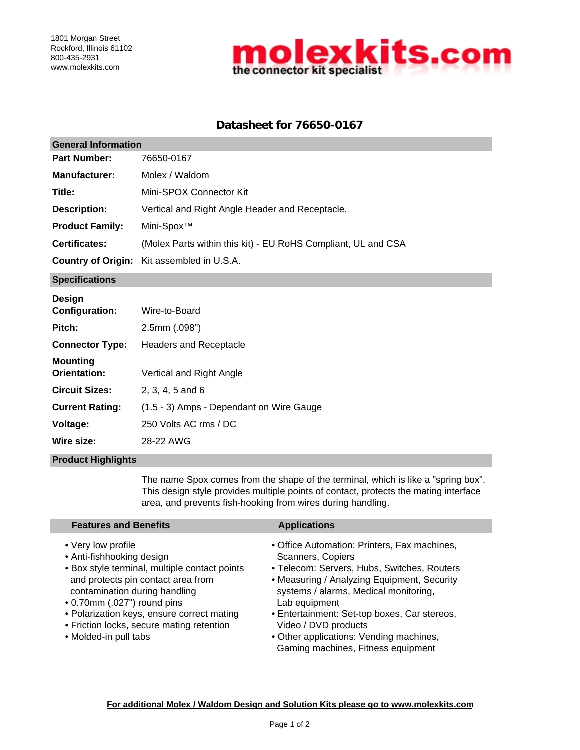

# **Datasheet for 76650-0167**

| <b>General Information</b> |                                                               |  |  |  |
|----------------------------|---------------------------------------------------------------|--|--|--|
| <b>Part Number:</b>        | 76650-0167                                                    |  |  |  |
| <b>Manufacturer:</b>       | Molex / Waldom                                                |  |  |  |
| Title:                     | Mini-SPOX Connector Kit                                       |  |  |  |
| <b>Description:</b>        | Vertical and Right Angle Header and Receptacle.               |  |  |  |
| <b>Product Family:</b>     | Mini-Spox <sup>™</sup>                                        |  |  |  |
| <b>Certificates:</b>       | (Molex Parts within this kit) - EU RoHS Compliant, UL and CSA |  |  |  |
|                            | <b>Country of Origin:</b> Kit assembled in U.S.A.             |  |  |  |
| <b>Specifications</b>      |                                                               |  |  |  |
| <b>Design</b>              |                                                               |  |  |  |

| -----<br><b>Configuration:</b>  | Wire-to-Board                            |
|---------------------------------|------------------------------------------|
| Pitch:                          | $2.5$ mm $(.098")$                       |
| <b>Connector Type:</b>          | Headers and Receptacle                   |
| Mounting<br><b>Orientation:</b> | Vertical and Right Angle                 |
| <b>Circuit Sizes:</b>           | $2.3.4.5$ and 6                          |
| <b>Current Rating:</b>          | (1.5 - 3) Amps - Dependant on Wire Gauge |
| Voltage:                        | 250 Volts AC rms / DC                    |
| Wire size:                      | 28-22 AWG                                |

### **Product Highlights**

The name Spox comes from the shape of the terminal, which is like a "spring box". This design style provides multiple points of contact, protects the mating interface area, and prevents fish-hooking from wires during handling.

| <b>Features and Benefits</b>                                                                                                                                                                                                                                                                                               | <b>Applications</b>                                                                                                                                                                                                                                                                                                                                                                |
|----------------------------------------------------------------------------------------------------------------------------------------------------------------------------------------------------------------------------------------------------------------------------------------------------------------------------|------------------------------------------------------------------------------------------------------------------------------------------------------------------------------------------------------------------------------------------------------------------------------------------------------------------------------------------------------------------------------------|
| • Very low profile<br>• Anti-fishhooking design<br>• Box style terminal, multiple contact points<br>and protects pin contact area from<br>contamination during handling<br>• 0.70mm (.027") round pins<br>• Polarization keys, ensure correct mating<br>• Friction locks, secure mating retention<br>• Molded-in pull tabs | • Office Automation: Printers, Fax machines,<br>Scanners, Copiers<br>• Telecom: Servers, Hubs, Switches, Routers<br>• Measuring / Analyzing Equipment, Security<br>systems / alarms, Medical monitoring,<br>Lab equipment<br>• Entertainment: Set-top boxes, Car stereos,<br>Video / DVD products<br>• Other applications: Vending machines,<br>Gaming machines, Fitness equipment |